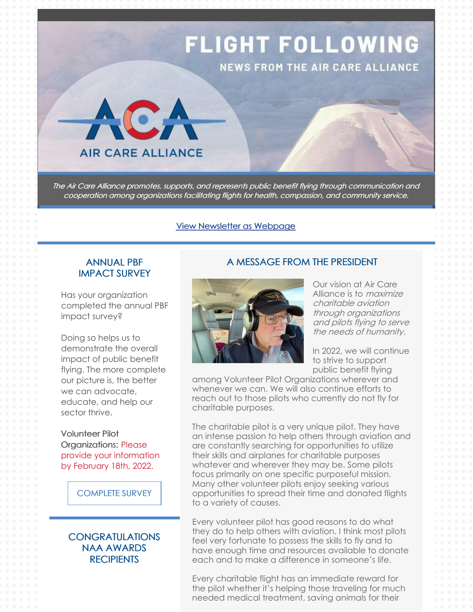

The Air Care Alliance promotes, supports, and represents public benefit flying through communication and cooperation among organizations facilitating flights for health, compassion, and community service.

#### View [Newsletter](https://campaignlp.constantcontact.com/em/1102568734672/a3bfd003-0e2e-4caf-867c-fa2f84b68657) as Webpage

### ANNUAL PBF IMPACT SURVEY

Has your organization completed the annual PBF impact survey?

Doing so helps us to demonstrate the overall impact of public benefit flying. The more complete our picture is, the better we can advocate, educate, and help our sector thrive.

Volunteer Pilot Organizations: Please provide your information by February 18th, 2022.

[COMPLETE](https://docs.google.com/forms/d/e/1FAIpQLSf5BKo1ngKxMmCFCyW6Y4-2stQiMaBKM_-WApuwrVXM-2IcJQ/viewform?usp=sf_link) SURVEY

**CONGRATULATIONS** NAA AWARDS **RECIPIENTS** 

#### A MESSAGE FROM THE PRESIDENT



Our vision at Air Care Alliance is to *maximize* charitable aviation through organizations and pilots flying to serve the needs of humanity.

In 2022, we will continue to strive to support public benefit flying

among Volunteer Pilot Organizations wherever and whenever we can. We will also continue efforts to reach out to those pilots who currently do not fly for charitable purposes.

The charitable pilot is a very unique pilot. They have an intense passion to help others through aviation and are constantly searching for opportunities to utilize their skills and airplanes for charitable purposes whatever and wherever they may be. Some pilots focus primarily on one specific purposeful mission. Many other volunteer pilots enjoy seeking various opportunities to spread their time and donated flights to a variety of causes.

Every volunteer pilot has good reasons to do what they do to help others with aviation. I think most pilots feel very fortunate to possess the skills to fly and to have enough time and resources available to donate each and to make a difference in someone's life.

Every charitable flight has an immediate reward for the pilot whether it's helping those traveling for much needed medical treatment, saving animals for their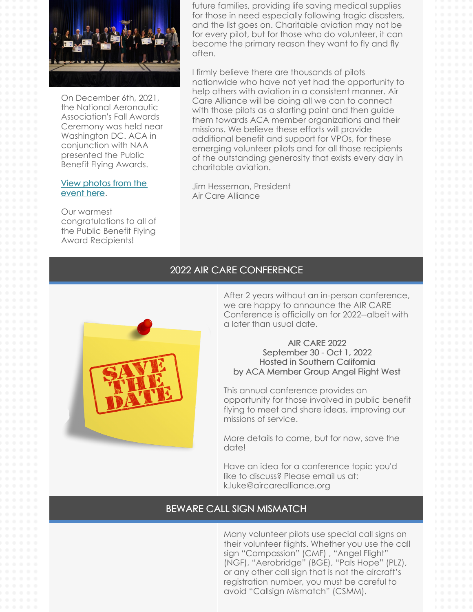

On December 6th, 2021, the National Aeronautic Association's Fall Awards Ceremony was held near Washington DC. ACA in conjunction with NAA presented the Public Benefit Flying Awards.

#### View [photos](https://nationalaeronauticassociation.shutterfly.com/10384) from the event here.

Our warmest congratulations to all of the Public Benefit Flying Award Recipients!

future families, providing life saving medical supplies for those in need especially following tragic disasters, and the list goes on. Charitable aviation may not be for every pilot, but for those who do volunteer, it can become the primary reason they want to fly and fly often.

I firmly believe there are thousands of pilots nationwide who have not yet had the opportunity to help others with aviation in a consistent manner. Air Care Alliance will be doing all we can to connect with those pilots as a starting point and then guide them towards ACA member organizations and their missions. We believe these efforts will provide additional benefit and support for VPOs, for these emerging volunteer pilots and for all those recipients of the outstanding generosity that exists every day in charitable aviation.

Jim Hesseman, President Air Care Alliance

## 2022 AIR CARE CONFERENCE



After 2 years without an in-person conference, we are happy to announce the AIR CARE Conference is officially on for 2022--albeit with a later than usual date.

#### AIR CARE 2022 September 30 - Oct 1, 2022 Hosted in Southern California by ACA Member Group Angel Flight West

This annual conference provides an opportunity for those involved in public benefit flying to meet and share ideas, improving our missions of service.

More details to come, but for now, save the date!

Have an idea for a conference topic you'd like to discuss? Please email us at: k.luke@aircarealliance.org

## BEWARE CALL SIGN MISMATCH

Many volunteer pilots use special call signs on their volunteer flights. Whether you use the call sign "Compassion" (CMF) , "Angel Flight" (NGF), "Aerobridge" (BGE), "Pals Hope" (PLZ), or any other call sign that is not the aircraft's registration number, you must be careful to avoid "Callsign Mismatch" (CSMM).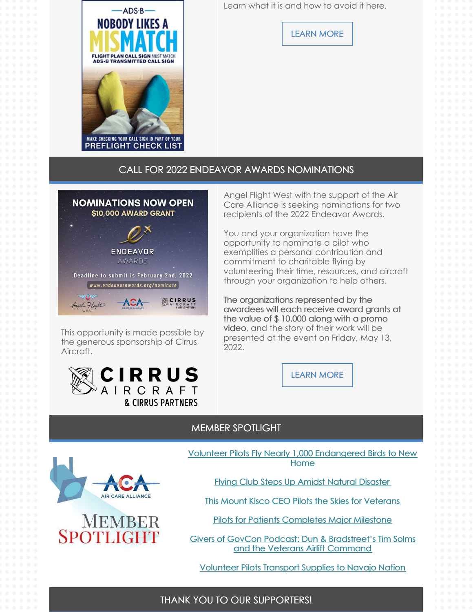Learn what it is and how to avoid it here.



[LEARN](https://www.aircarealliance.org/news/beware-call-sign-mismatch/) MORE

## CALL FOR 2022 ENDEAVOR AWARDS NOMINATIONS



This opportunity is made possible by the generous sponsorship of Cirrus Aircraft.



Angel Flight West with the support of the Air Care Alliance is seeking nominations for two recipients of the 2022 Endeavor Awards.

You and your organization have the opportunity to nominate a pilot who exemplifies a personal contribution and commitment to charitable flying by volunteering their time, resources, and aircraft through your organization to help others.

The organizations represented by the awardees will each receive award grants at the value of \$ 10,000 along with a promo video, and the story of their work will be presented at the event on Friday, May 13, 2022.



#### MEMBER SPOTLIGHT





Volunteer Pilots Fly Nearly 1,000 [Endangered](https://generalaviationnews.com/2021/12/29/volunteer-pilots-fly-nearly-1000-endangered-birds-to-new-home/?utm_medium=email&utm_source=rasa_io&PostID=44730129&MessageRunDetailID=7516937940) Birds to New Home

Flying Club Steps Up Amidst Natural [Disaster](https://www.planeandpilotmag.com/news/the-latest/2021/12/03/flying-club-steps-up-amid-natural-disaster/)

This Mount Kisco CEO Pilots the Skies for [Veterans](https://westchestermagazine.com/life-style/business/scott-johnson-ceo-pilot/)

Pilots for Patients [Completes](https://www.myarklamiss.com/news/top-stories/pilots-for-patients-completes-major-milestone/) Major Milestone

Givers of GovCon Podcast: Dun & [Bradstreet's](https://washingtonexec.com/2021/11/givers-of-govcon-podcast-dun-bradstreets-tim-solms-and-the-veterans-airlift-command/) Tim Solms and the Veterans Airlift Command

[Volunteer](https://www.santafenewmexican.com/news/local_news/new-mexico-pilots-take-part-in-navajo-christmas-airlift/article_b12cb5ae-4634-11ec-a48e-c7b50eee963e.html) Pilots Transport Supplies to Navajo Nation

### THANK YOU TO OUR SUPPORTERS!